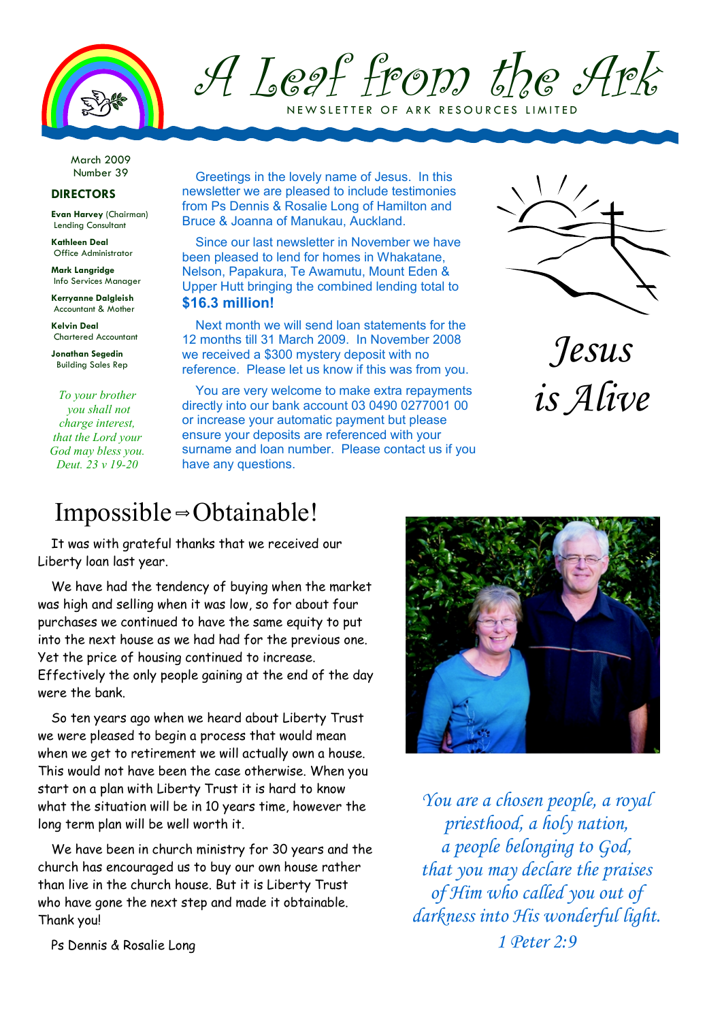

A Leaf from the Ark NEW SLETTER OF ARK RESOURCES LIMITED

March 2009 Number 39

## **DIRECTORS**

**Evan Harvey** (Chairman) Lending Consultant

**Kathleen Deal**  Office Administrator

**Mark Langridge**  Info Services Manager

**Kerryanne Dalgleish**  Accountant & Mother

**Kelvin Deal**  Chartered Accountant

**Jonathan Segedin**  Building Sales Rep

*To your brother you shall not charge interest, that the Lord your God may bless you. Deut. 23 v 19-20*

Greetings in the lovely name of Jesus. In this newsletter we are pleased to include testimonies from Ps Dennis & Rosalie Long of Hamilton and Bruce & Joanna of Manukau, Auckland.

Since our last newsletter in November we have been pleased to lend for homes in Whakatane, Nelson, Papakura, Te Awamutu, Mount Eden & Upper Hutt bringing the combined lending total to **\$16.3 million!**

Next month we will send loan statements for the 12 months till 31 March 2009. In November 2008 we received a \$300 mystery deposit with no reference. Please let us know if this was from you.

You are very welcome to make extra repayments directly into our bank account 03 0490 0277001 00 or increase your automatic payment but please ensure your deposits are referenced with your surname and loan number. Please contact us if you have any questions.



*Jesus is Alive* 

## Impossible  $\Rightarrow$  Obtainable!

It was with grateful thanks that we received our Liberty loan last year.

We have had the tendency of buying when the market was high and selling when it was low, so for about four purchases we continued to have the same equity to put into the next house as we had had for the previous one. Yet the price of housing continued to increase. Effectively the only people gaining at the end of the day were the bank.

So ten years ago when we heard about Liberty Trust we were pleased to begin a process that would mean when we get to retirement we will actually own a house. This would not have been the case otherwise. When you start on a plan with Liberty Trust it is hard to know what the situation will be in 10 years time, however the long term plan will be well worth it.

We have been in church ministry for 30 years and the church has encouraged us to buy our own house rather than live in the church house. But it is Liberty Trust who have gone the next step and made it obtainable. Thank you!



*You are a chosen people, a royal priesthood, a holy nation, a people belonging to God, that you may declare the praises of Him who called you out of darkness into His wonderful light. 1 Peter 2:9* 

Ps Dennis & Rosalie Long